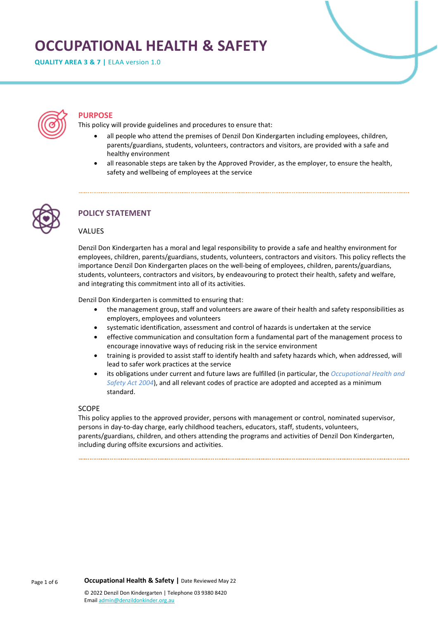# **OCCUPATIONAL HEALTH & SAFETY**

**QUALITY AREA 3 & 7 |** ELAA version 1.0



### **PURPOSE**

This policy will provide guidelines and procedures to ensure that:

- all people who attend the premises of Denzil Don Kindergarten including employees, children, parents/guardians, students, volunteers, contractors and visitors, are provided with a safe and healthy environment
- all reasonable steps are taken by the Approved Provider, as the employer, to ensure the health, safety and wellbeing of employees at the service



# **POLICY STATEMENT**

#### VALUES

Denzil Don Kindergarten has a moral and legal responsibility to provide a safe and healthy environment for employees, children, parents/guardians, students, volunteers, contractors and visitors. This policy reflects the importance Denzil Don Kindergarten places on the well-being of employees, children, parents/guardians, students, volunteers, contractors and visitors, by endeavouring to protect their health, safety and welfare, and integrating this commitment into all of its activities.

Denzil Don Kindergarten is committed to ensuring that:

- the management group, staff and volunteers are aware of their health and safety responsibilities as employers, employees and volunteers
- systematic identification, assessment and control of hazards is undertaken at the service
- effective communication and consultation form a fundamental part of the management process to encourage innovative ways of reducing risk in the service environment
- training is provided to assist staff to identify health and safety hazards which, when addressed, will lead to safer work practices at the service
- its obligations under current and future laws are fulfilled (in particular, the *Occupational Health and Safety Act 2004*), and all relevant codes of practice are adopted and accepted as a minimum standard.

#### SCOPE

This policy applies to the approved provider, persons with management or control, nominated supervisor, persons in day-to-day charge, early childhood teachers, educators, staff, students, volunteers, parents/guardians, children, and others attending the programs and activities of Denzil Don Kindergarten, including during offsite excursions and activities.

Page 1 of 6 **Occupational Health & Safety |** Date Reviewed May 22 © 2022 Denzil Don Kindergarten | Telephone 03 9380 8420 Emai[l admin@denzildonkinder.org.au](mailto:admin@denzildonkinder.org.au)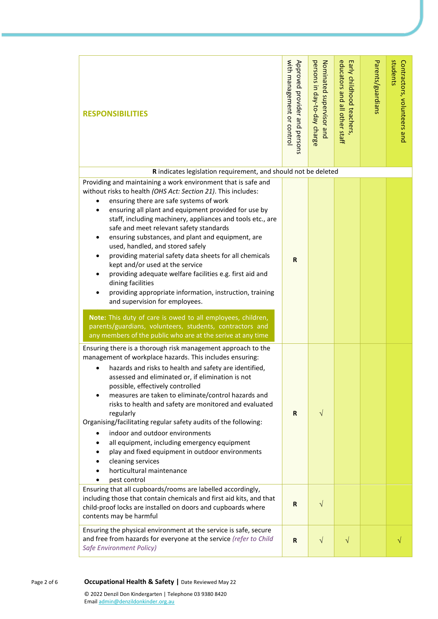| <b>RESPONSIBILITIES</b>                                                                                                                                                                                                                                                                                                                                                                                                                                                                                                                                                                                                                                                                                                                              | with management or control<br>Approved provider and persons | persons in day-to-day charge<br>Nominated supervisor and | educators and all other staff<br>Early childhood teachers, | Parents/guardians | students<br>Contractors, volunteers and |
|------------------------------------------------------------------------------------------------------------------------------------------------------------------------------------------------------------------------------------------------------------------------------------------------------------------------------------------------------------------------------------------------------------------------------------------------------------------------------------------------------------------------------------------------------------------------------------------------------------------------------------------------------------------------------------------------------------------------------------------------------|-------------------------------------------------------------|----------------------------------------------------------|------------------------------------------------------------|-------------------|-----------------------------------------|
|                                                                                                                                                                                                                                                                                                                                                                                                                                                                                                                                                                                                                                                                                                                                                      |                                                             |                                                          |                                                            |                   |                                         |
| R indicates legislation requirement, and should not be deleted                                                                                                                                                                                                                                                                                                                                                                                                                                                                                                                                                                                                                                                                                       |                                                             |                                                          |                                                            |                   |                                         |
| Providing and maintaining a work environment that is safe and<br>without risks to health (OHS Act: Section 21). This includes:<br>ensuring there are safe systems of work<br>ensuring all plant and equipment provided for use by<br>٠<br>staff, including machinery, appliances and tools etc., are<br>safe and meet relevant safety standards<br>ensuring substances, and plant and equipment, are<br>٠<br>used, handled, and stored safely<br>providing material safety data sheets for all chemicals<br>kept and/or used at the service<br>providing adequate welfare facilities e.g. first aid and<br>dining facilities<br>providing appropriate information, instruction, training<br>and supervision for employees.                           | R                                                           |                                                          |                                                            |                   |                                         |
| Note: This duty of care is owed to all employees, children,<br>parents/guardians, volunteers, students, contractors and<br>any members of the public who are at the serive at any time                                                                                                                                                                                                                                                                                                                                                                                                                                                                                                                                                               |                                                             |                                                          |                                                            |                   |                                         |
| Ensuring there is a thorough risk management approach to the<br>management of workplace hazards. This includes ensuring:<br>hazards and risks to health and safety are identified,<br>assessed and eliminated or, if elimination is not<br>possible, effectively controlled<br>measures are taken to eliminate/control hazards and<br>risks to health and safety are monitored and evaluated<br>regularly<br>Organising/facilitating regular safety audits of the following:<br>indoor and outdoor environments<br>all equipment, including emergency equipment<br>play and fixed equipment in outdoor environments<br>cleaning services<br>horticultural maintenance<br>pest control<br>Ensuring that all cupboards/rooms are labelled accordingly, | R                                                           | $\sqrt{ }$                                               |                                                            |                   |                                         |
| including those that contain chemicals and first aid kits, and that<br>child-proof locks are installed on doors and cupboards where<br>contents may be harmful                                                                                                                                                                                                                                                                                                                                                                                                                                                                                                                                                                                       | R                                                           | $\sqrt{}$                                                |                                                            |                   |                                         |
| Ensuring the physical environment at the service is safe, secure<br>and free from hazards for everyone at the service (refer to Child<br>Safe Environment Policy)                                                                                                                                                                                                                                                                                                                                                                                                                                                                                                                                                                                    | $\mathbf R$                                                 | $\sqrt{ }$                                               | $\sqrt{}$                                                  |                   |                                         |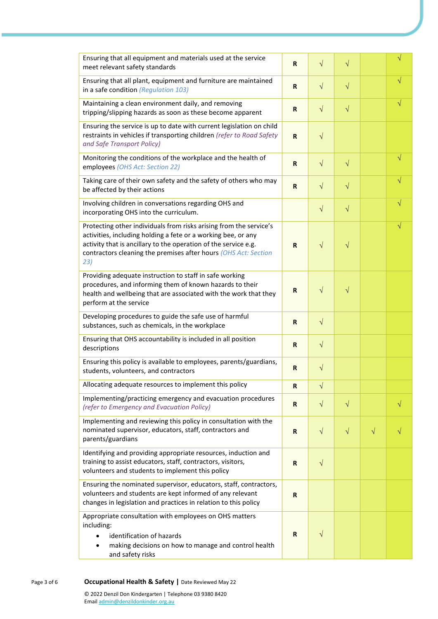| Ensuring that all equipment and materials used at the service<br>meet relevant safety standards                                                                                                                                                                                  | R            | $\sqrt{}$ | $\sqrt{}$ |           | $\sqrt{}$  |
|----------------------------------------------------------------------------------------------------------------------------------------------------------------------------------------------------------------------------------------------------------------------------------|--------------|-----------|-----------|-----------|------------|
| Ensuring that all plant, equipment and furniture are maintained<br>in a safe condition (Regulation 103)                                                                                                                                                                          | R            | $\sqrt{}$ | $\sqrt{}$ |           | $\sqrt{}$  |
| Maintaining a clean environment daily, and removing<br>tripping/slipping hazards as soon as these become apparent                                                                                                                                                                | $\mathsf R$  | $\sqrt{}$ | $\sqrt{}$ |           | $\sqrt{ }$ |
| Ensuring the service is up to date with current legislation on child<br>restraints in vehicles if transporting children (refer to Road Safety<br>and Safe Transport Policy)                                                                                                      | $\mathbf R$  | $\sqrt{}$ |           |           |            |
| Monitoring the conditions of the workplace and the health of<br>employees (OHS Act: Section 22)                                                                                                                                                                                  | R            | $\sqrt{}$ | $\sqrt{}$ |           | $\sqrt{}$  |
| Taking care of their own safety and the safety of others who may<br>be affected by their actions                                                                                                                                                                                 | $\mathbf R$  | $\sqrt{}$ | $\sqrt{}$ |           | V          |
| Involving children in conversations regarding OHS and<br>incorporating OHS into the curriculum.                                                                                                                                                                                  |              | $\sqrt{}$ | $\sqrt{}$ |           | V          |
| Protecting other individuals from risks arising from the service's<br>activities, including holding a fete or a working bee, or any<br>activity that is ancillary to the operation of the service e.g.<br>contractors cleaning the premises after hours (OHS Act: Section<br>23) | $\mathbf R$  | $\sqrt{}$ | $\sqrt{}$ |           | V          |
| Providing adequate instruction to staff in safe working<br>procedures, and informing them of known hazards to their<br>health and wellbeing that are associated with the work that they<br>perform at the service                                                                | R            | $\sqrt{}$ | $\sqrt{}$ |           |            |
| Developing procedures to guide the safe use of harmful<br>substances, such as chemicals, in the workplace                                                                                                                                                                        | $\mathbf R$  | $\sqrt{}$ |           |           |            |
| Ensuring that OHS accountability is included in all position<br>descriptions                                                                                                                                                                                                     | $\mathbf R$  | $\sqrt{}$ |           |           |            |
| Ensuring this policy is available to employees, parents/guardians,<br>students, volunteers, and contractors                                                                                                                                                                      | $\mathbf R$  | $\sqrt{}$ |           |           |            |
| Allocating adequate resources to implement this policy                                                                                                                                                                                                                           | $\mathsf{R}$ | $\sqrt{}$ |           |           |            |
| Implementing/practicing emergency and evacuation procedures<br>(refer to Emergency and Evacuation Policy)                                                                                                                                                                        | $\mathbf R$  | $\sqrt{}$ | $\sqrt{}$ |           | $\sqrt{}$  |
| Implementing and reviewing this policy in consultation with the<br>nominated supervisor, educators, staff, contractors and<br>parents/guardians                                                                                                                                  | $\mathbf R$  | $\sqrt{}$ | $\sqrt{}$ | $\sqrt{}$ |            |
| Identifying and providing appropriate resources, induction and<br>training to assist educators, staff, contractors, visitors,<br>volunteers and students to implement this policy                                                                                                | $\mathbf R$  | $\sqrt{}$ |           |           |            |
| Ensuring the nominated supervisor, educators, staff, contractors,<br>volunteers and students are kept informed of any relevant<br>changes in legislation and practices in relation to this policy                                                                                | $\mathbf R$  |           |           |           |            |
| Appropriate consultation with employees on OHS matters<br>including:<br>identification of hazards<br>making decisions on how to manage and control health<br>and safety risks                                                                                                    | R            | $\sqrt{}$ |           |           |            |
| Occupational Health & Safety   Date Reviewed May 22<br>© 2022 Denzil Don Kindergarten   Telephone 03 9380 8420<br>Email admin@denzildonkinder.org.au                                                                                                                             |              |           |           |           |            |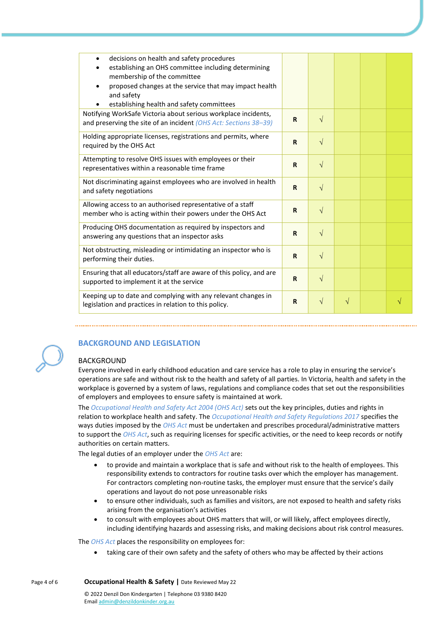| decisions on health and safety procedures<br>establishing an OHS committee including determining<br>membership of the committee<br>proposed changes at the service that may impact health<br>and safety<br>establishing health and safety committees |             |            |   |   |
|------------------------------------------------------------------------------------------------------------------------------------------------------------------------------------------------------------------------------------------------------|-------------|------------|---|---|
| Notifying WorkSafe Victoria about serious workplace incidents,<br>and preserving the site of an incident (OHS Act: Sections 38-39)                                                                                                                   | $\mathbf R$ | $\sqrt{ }$ |   |   |
| Holding appropriate licenses, registrations and permits, where<br>required by the OHS Act                                                                                                                                                            | R           | $\sqrt{ }$ |   |   |
| Attempting to resolve OHS issues with employees or their<br>representatives within a reasonable time frame                                                                                                                                           | $\mathbf R$ | $\sqrt{}$  |   |   |
| Not discriminating against employees who are involved in health<br>and safety negotiations                                                                                                                                                           | $\mathbf R$ | $\sqrt{ }$ |   |   |
| Allowing access to an authorised representative of a staff<br>member who is acting within their powers under the OHS Act                                                                                                                             | $\mathbf R$ | $\sqrt{}$  |   |   |
| Producing OHS documentation as required by inspectors and<br>answering any questions that an inspector asks                                                                                                                                          | R           | $\sqrt{ }$ |   |   |
| Not obstructing, misleading or intimidating an inspector who is<br>performing their duties.                                                                                                                                                          | $\mathbf R$ | $\sqrt{}$  |   |   |
| Ensuring that all educators/staff are aware of this policy, and are<br>supported to implement it at the service                                                                                                                                      | $\mathbf R$ | $\sqrt{}$  |   |   |
| Keeping up to date and complying with any relevant changes in<br>legislation and practices in relation to this policy.                                                                                                                               | R           | $\sqrt{}$  | V | V |



# **BACKGROUND AND LEGISLATION**

# BACKGROUND

Everyone involved in early childhood education and care service has a role to play in ensuring the service's operations are safe and without risk to the health and safety of all parties. In Victoria, health and safety in the workplace is governed by a system of laws, regulations and compliance codes that set out the responsibilities of employers and employees to ensure safety is maintained at work.

The *Occupational Health and Safety Act 2004 (OHS Act)* sets out the key principles, duties and rights in relation to workplace health and safety. The *Occupational Health and Safety Regulations 2017* specifies the ways duties imposed by the *OHS Act* must be undertaken and prescribes procedural/administrative matters to support the *OHS Act*, such as requiring licenses for specific activities, or the need to keep records or notify authorities on certain matters.

The legal duties of an employer under the *OHS Act* are:

- to provide and maintain a workplace that is safe and without risk to the health of employees. This responsibility extends to contractors for routine tasks over which the employer has management. For contractors completing non-routine tasks, the employer must ensure that the service's daily operations and layout do not pose unreasonable risks
- to ensure other individuals, such as families and visitors, are not exposed to health and safety risks arising from the organisation's activities
- to consult with employees about OHS matters that will, or will likely, affect employees directly, including identifying hazards and assessing risks, and making decisions about risk control measures.

The *OHS Act* places the responsibility on employees for:

• taking care of their own safety and the safety of others who may be affected by their actions

Page 4 of 6 **Occupational Health & Safety |** Date Reviewed May 22 © 2022 Denzil Don Kindergarten | Telephone 03 9380 8420 Emai[l admin@denzildonkinder.org.au](mailto:admin@denzildonkinder.org.au)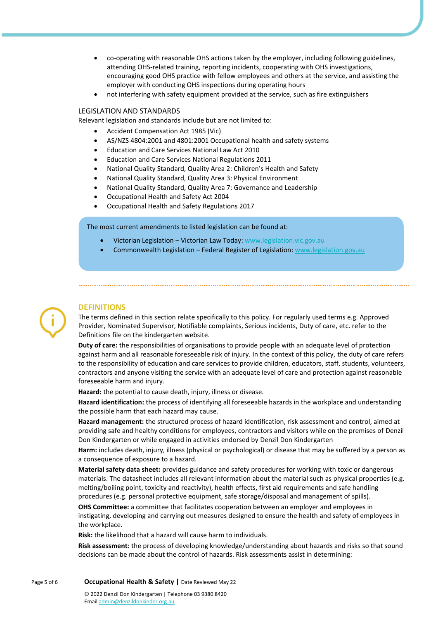- co-operating with reasonable OHS actions taken by the employer, including following guidelines, attending OHS-related training, reporting incidents, cooperating with OHS investigations, encouraging good OHS practice with fellow employees and others at the service, and assisting the employer with conducting OHS inspections during operating hours
- not interfering with safety equipment provided at the service, such as fire extinguishers

#### LEGISLATION AND STANDARDS

Relevant legislation and standards include but are not limited to:

- Accident Compensation Act 1985 (Vic)
- AS/NZS 4804:2001 and 4801:2001 Occupational health and safety systems
- Education and Care Services National Law Act 2010
- Education and Care Services National Regulations 2011
- National Quality Standard, Quality Area 2: Children's Health and Safety
- National Quality Standard, Quality Area 3: Physical Environment
- National Quality Standard, Quality Area 7: Governance and Leadership
- Occupational Health and Safety Act 2004
- Occupational Health and Safety Regulations 2017

The most current amendments to listed legislation can be found at:

- Victorian Legislation Victorian Law Today: [www.legislation.vic.gov.au](http://www.legislation.vic.gov.au/)
- Commonwealth Legislation Federal Register of Legislation: [www.legislation.gov.au](http://www.legislation.gov.au/)

# **DEFINITIONS**

The terms defined in this section relate specifically to this policy. For regularly used terms e.g. Approved Provider, Nominated Supervisor, Notifiable complaints, Serious incidents, Duty of care, etc. refer to the Definitions file on the kindergarten website.

**Duty of care:** the responsibilities of organisations to provide people with an adequate level of protection against harm and all reasonable foreseeable risk of injury. In the context of this policy, the duty of care refers to the responsibility of education and care services to provide children, educators, staff, students, volunteers, contractors and anyone visiting the service with an adequate level of care and protection against reasonable foreseeable harm and injury.

**Hazard:** the potential to cause death, injury, illness or disease.

**Hazard identification:** the process of identifying all foreseeable hazards in the workplace and understanding the possible harm that each hazard may cause.

**Hazard management:** the structured process of hazard identification, risk assessment and control, aimed at providing safe and healthy conditions for employees, contractors and visitors while on the premises of Denzil Don Kindergarten or while engaged in activities endorsed by Denzil Don Kindergarten

**Harm:** includes death, injury, illness (physical or psychological) or disease that may be suffered by a person as a consequence of exposure to a hazard.

**Material safety data sheet:** provides guidance and safety procedures for working with toxic or dangerous materials. The datasheet includes all relevant information about the material such as physical properties (e.g. melting/boiling point, toxicity and reactivity), health effects, first aid requirements and safe handling procedures (e.g. personal protective equipment, safe storage/disposal and management of spills).

**OHS Committee:** a committee that facilitates cooperation between an employer and employees in instigating, developing and carrying out measures designed to ensure the health and safety of employees in the workplace.

**Risk:** the likelihood that a hazard will cause harm to individuals.

**Risk assessment:** the process of developing knowledge/understanding about hazards and risks so that sound decisions can be made about the control of hazards. Risk assessments assist in determining:

Emai[l admin@denzildonkinder.org.au](mailto:admin@denzildonkinder.org.au)